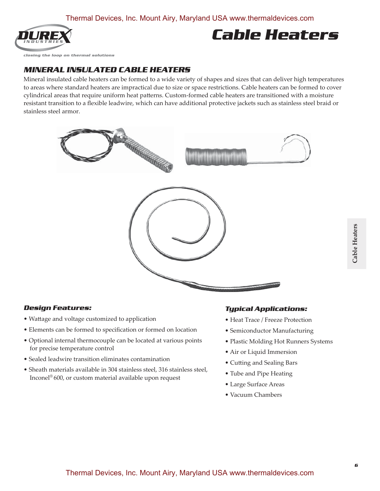

# **Cable Heaters**

closing the loop on thermal solutions

### **MINERAL INSULATED CABLE HEATERS**

Mineral insulated cable heaters can be formed to a wide variety of shapes and sizes that can deliver high temperatures to areas where standard heaters are impractical due to size or space restrictions. Cable heaters can be formed to cover cylindrical areas that require uniform heat patterns. Custom-formed cable heaters are transitioned with a moisture resistant transition to a flexible leadwire, which can have additional protective jackets such as stainless steel braid or stainless steel armor.



### **Design Features:**

- Wattage and voltage customized to application
- Elements can be formed to specification or formed on location
- Optional internal thermocouple can be located at various points for precise temperature control
- Sealed leadwire transition eliminates contamination
- Sheath materials available in 304 stainless steel, 316 stainless steel, Inconel® 600, or custom material available upon request

### **Typical Applications:**

- Heat Trace / Freeze Protection
- Semiconductor Manufacturing
- Plastic Molding Hot Runners Systems
- Air or Liquid Immersion
- Cutting and Sealing Bars
- Tube and Pipe Heating
- Large Surface Areas
- Vacuum Chambers